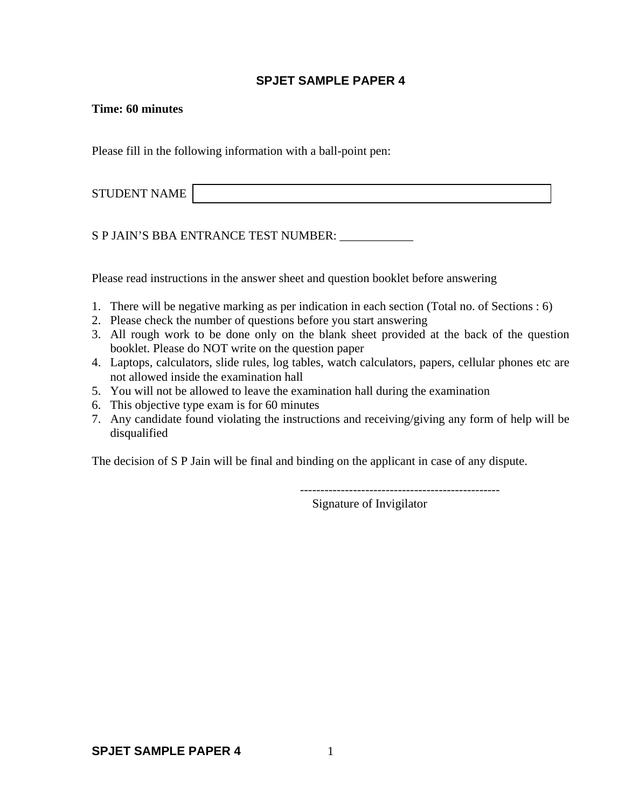### **SPJET SAMPLE PAPER 4**

#### **Time: 60 minutes**

Please fill in the following information with a ball-point pen:

| <b>STUDENT NAME</b> |  |
|---------------------|--|
|                     |  |

S P JAIN'S BBA ENTRANCE TEST NUMBER: \_\_\_\_\_\_\_\_\_\_\_

Please read instructions in the answer sheet and question booklet before answering

- 1. There will be negative marking as per indication in each section (Total no. of Sections : 6)
- 2. Please check the number of questions before you start answering
- 3. All rough work to be done only on the blank sheet provided at the back of the question booklet. Please do NOT write on the question paper
- 4. Laptops, calculators, slide rules, log tables, watch calculators, papers, cellular phones etc are not allowed inside the examination hall
- 5. You will not be allowed to leave the examination hall during the examination
- 6. This objective type exam is for 60 minutes
- 7. Any candidate found violating the instructions and receiving/giving any form of help will be disqualified

The decision of S P Jain will be final and binding on the applicant in case of any dispute.

-------------------------------------------------

Signature of Invigilator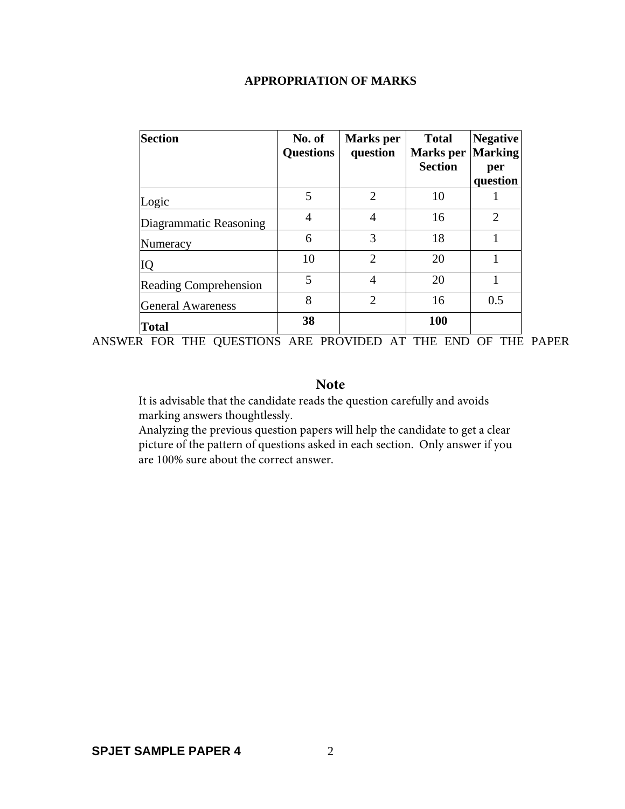## **APPROPRIATION OF MARKS**

| Section                      | No. of<br><b>Questions</b> | <b>Marks</b> per<br>question | <b>Total</b><br><b>Marks</b> per<br><b>Section</b> | <b>Negative</b><br><b>Marking</b><br>per<br>question |
|------------------------------|----------------------------|------------------------------|----------------------------------------------------|------------------------------------------------------|
| Logic                        | 5                          | $\overline{2}$               | 10                                                 |                                                      |
| Diagrammatic Reasoning       | 4                          | $\overline{4}$               | 16                                                 | $\overline{2}$                                       |
| Numeracy                     | 6                          | 3                            | 18                                                 |                                                      |
| IQ                           | 10                         | $\overline{2}$               | 20                                                 |                                                      |
| <b>Reading Comprehension</b> | 5                          | 4                            | 20                                                 |                                                      |
| <b>General Awareness</b>     | 8                          | $\overline{2}$               | 16                                                 | 0.5                                                  |
| Total                        | 38                         |                              | 100                                                |                                                      |

ANSWER FOR THE QUESTIONS ARE PROVIDED AT THE END OF THE PAPER

### **Note**

It is advisable that the candidate reads the question carefully and avoids marking answers thoughtlessly.

Analyzing the previous question papers will help the candidate to get a clear picture of the pattern of questions asked in each section. Only answer if you are 100% sure about the correct answer.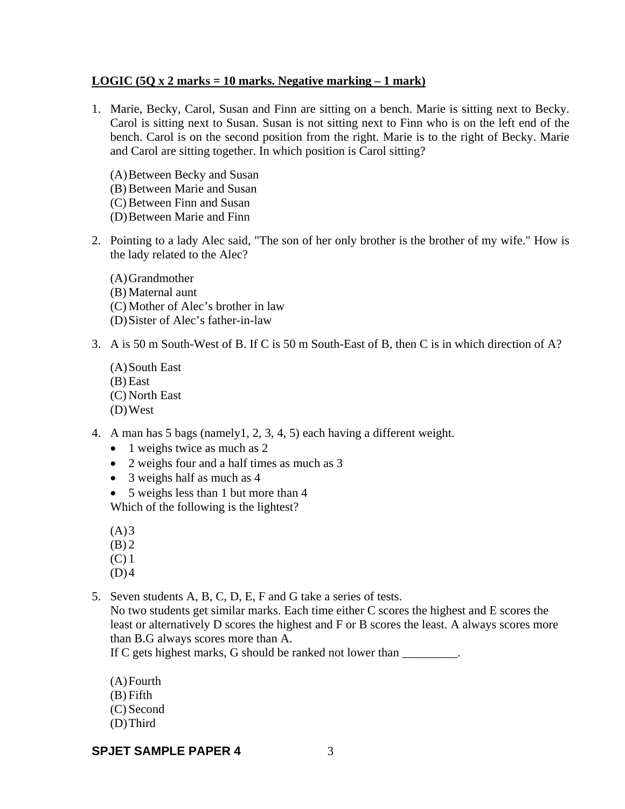### **LOGIC (5Q x 2 marks = 10 marks. Negative marking – 1 mark)**

- 1. Marie, Becky, Carol, Susan and Finn are sitting on a bench. Marie is sitting next to Becky. Carol is sitting next to Susan. Susan is not sitting next to Finn who is on the left end of the bench. Carol is on the second position from the right. Marie is to the right of Becky. Marie and Carol are sitting together. In which position is Carol sitting?
	- (A)Between Becky and Susan (B) Between Marie and Susan (C) Between Finn and Susan (D)Between Marie and Finn
- 2. Pointing to a lady Alec said, "The son of her only brother is the brother of my wife." How is the lady related to the Alec?
	- (A)Grandmother (B) Maternal aunt (C) Mother of Alec's brother in law (D)Sister of Alec's father-in-law
- 3. A is 50 m South-West of B. If C is 50 m South-East of B, then C is in which direction of A?
	- (A)South East (B) East (C) North East (D)West
- 4. A man has 5 bags (namely1, 2, 3, 4, 5) each having a different weight.
	- 1 weighs twice as much as 2
	- 2 weighs four and a half times as much as 3
	- 3 weighs half as much as 4
	- 5 weighs less than 1 but more than 4 Which of the following is the lightest?
	- $(A)3$
	- $(B)$  2
	- (C) 1
	- $(D)4$

5. Seven students A, B, C, D, E, F and G take a series of tests.

No two students get similar marks. Each time either C scores the highest and E scores the least or alternatively D scores the highest and F or B scores the least. A always scores more than B.G always scores more than A.

If C gets highest marks, G should be ranked not lower than

- (A)Fourth
- (B) Fifth
- (C) Second
- (D)Third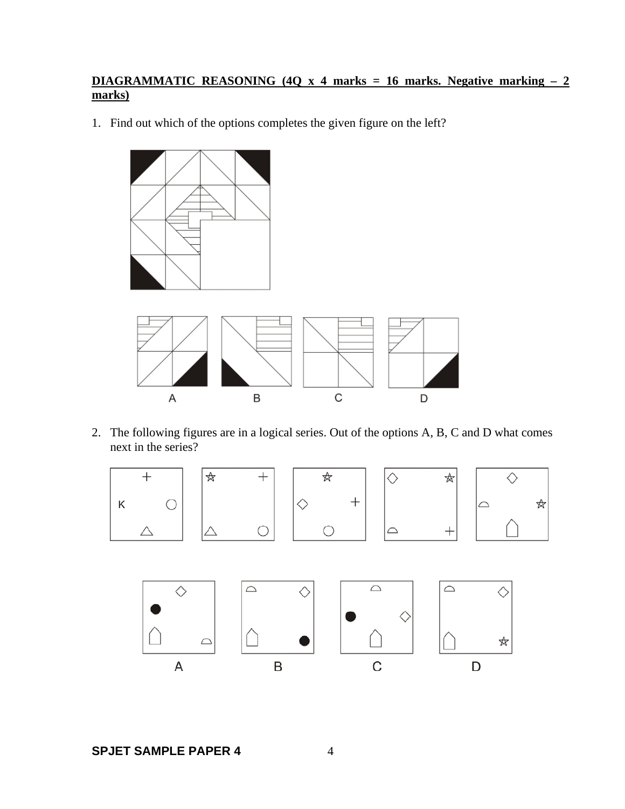## **DIAGRAMMATIC REASONING (4Q x 4 marks = 16 marks. Negative marking – 2 marks)**

1. Find out which of the options completes the given figure on the left?



2. The following figures are in a logical series. Out of the options A, B, C and D what comes next in the series?

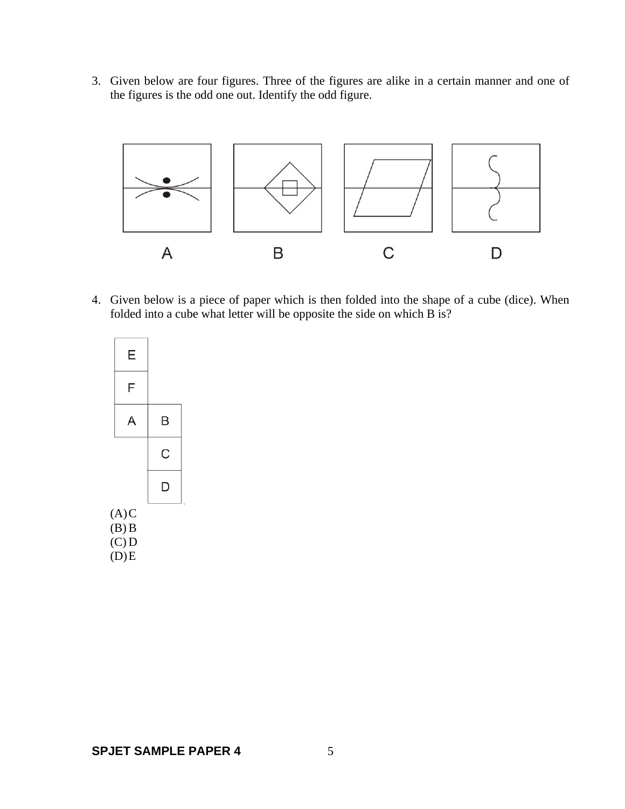3. Given below are four figures. Three of the figures are alike in a certain manner and one of the figures is the odd one out. Identify the odd figure.



4. Given below is a piece of paper which is then folded into the shape of a cube (dice). When folded into a cube what letter will be opposite the side on which B is?

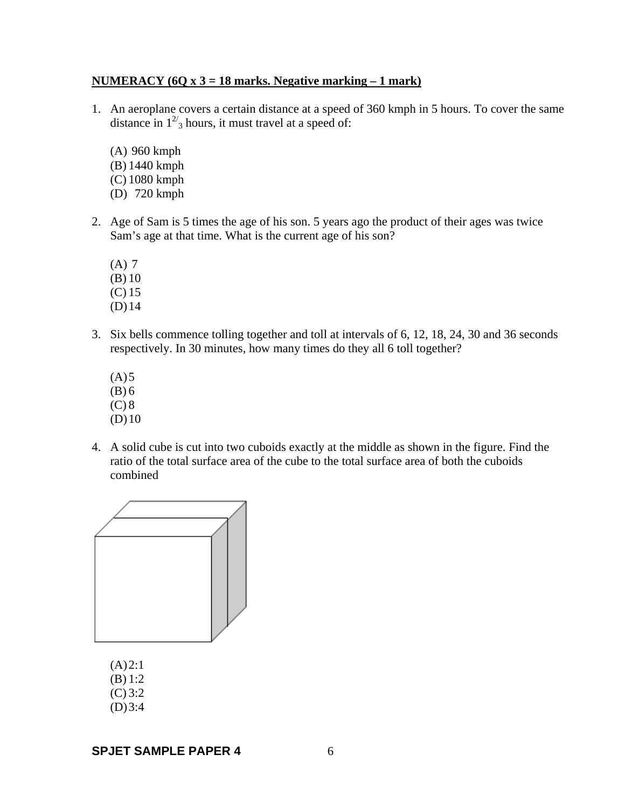### **NUMERACY (6Q x 3 = 18 marks. Negative marking – 1 mark)**

- 1. An aeroplane covers a certain distance at a speed of 360 kmph in 5 hours. To cover the same distance in  $1^{27}$ <sub>3</sub> hours, it must travel at a speed of:
	- (A) 960 kmph (B) 1440 kmph (C) 1080 kmph (D) 720 kmph
- 2. Age of Sam is 5 times the age of his son. 5 years ago the product of their ages was twice Sam's age at that time. What is the current age of his son?
	- (A) 7
	- (B) 10
	- (C) 15
	- (D)14
- 3. Six bells commence tolling together and toll at intervals of 6, 12, 18, 24, 30 and 36 seconds respectively. In 30 minutes, how many times do they all 6 toll together?
	- $(A)5$ (B) 6
	- $(C) 8$
	- $(D)10$
- 4. A solid cube is cut into two cuboids exactly at the middle as shown in the figure. Find the ratio of the total surface area of the cube to the total surface area of both the cuboids combined



 $(A)2:1$ 

- (B) 1:2
- (C) 3:2
- $(D)3:4$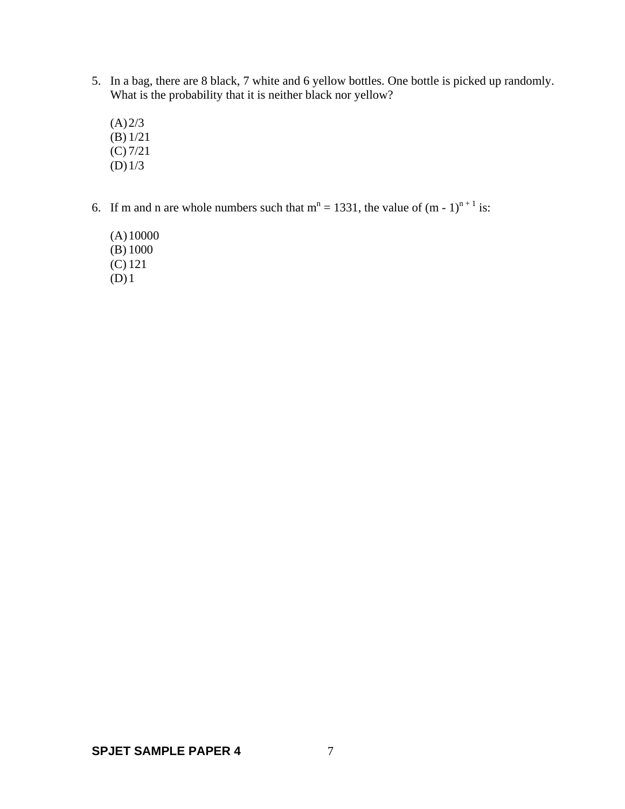- 5. In a bag, there are 8 black, 7 white and 6 yellow bottles. One bottle is picked up randomly. What is the probability that it is neither black nor yellow?
	- $(A) 2/3$ (B) 1/21 (C) 7/21 (D)1/3
- 6. If m and n are whole numbers such that  $m^n = 1331$ , the value of  $(m 1)^{n+1}$  is:
	- (A)10000 (B) 1000 (C) 121  $(D)1$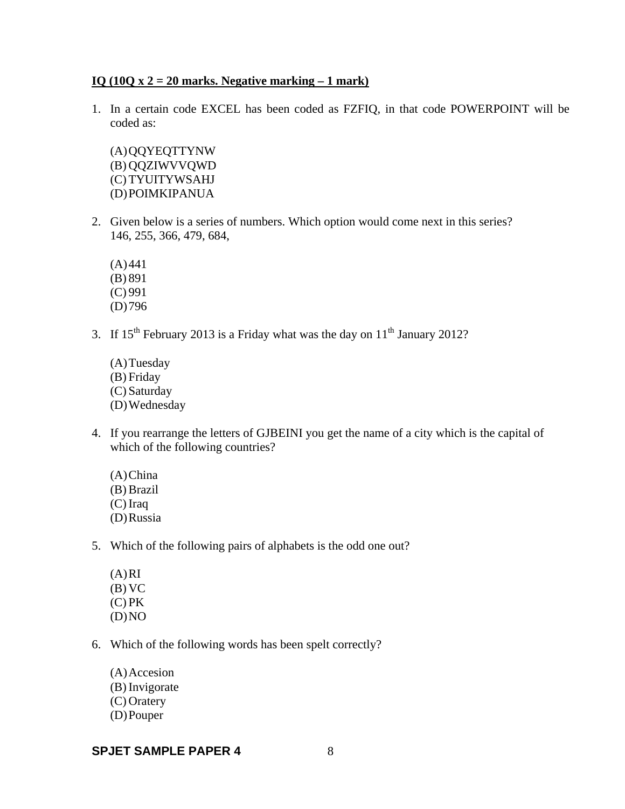#### **IQ (10Q x 2 = 20 marks. Negative marking – 1 mark)**

1. In a certain code EXCEL has been coded as FZFIQ, in that code POWERPOINT will be coded as:

(A)QQYEQTTYNW (B) QQZIWVVQWD (C) TYUITYWSAHJ (D)POIMKIPANUA

2. Given below is a series of numbers. Which option would come next in this series? 146, 255, 366, 479, 684,

 $(A)441$ (B) 891 (C) 991

- (D)796
- 3. If  $15^{th}$  February 2013 is a Friday what was the day on  $11^{th}$  January 2012?

(A)Tuesday (B) Friday (C) Saturday (D)Wednesday

- 4. If you rearrange the letters of GJBEINI you get the name of a city which is the capital of which of the following countries?
	- (A)China (B) Brazil (C) Iraq (D)Russia
- 5. Which of the following pairs of alphabets is the odd one out?
	- $(A)$ RI (B) VC  $(C)$  PK  $(D)NO$
- 6. Which of the following words has been spelt correctly?

(A)Accesion (B) Invigorate (C) Oratery (D)Pouper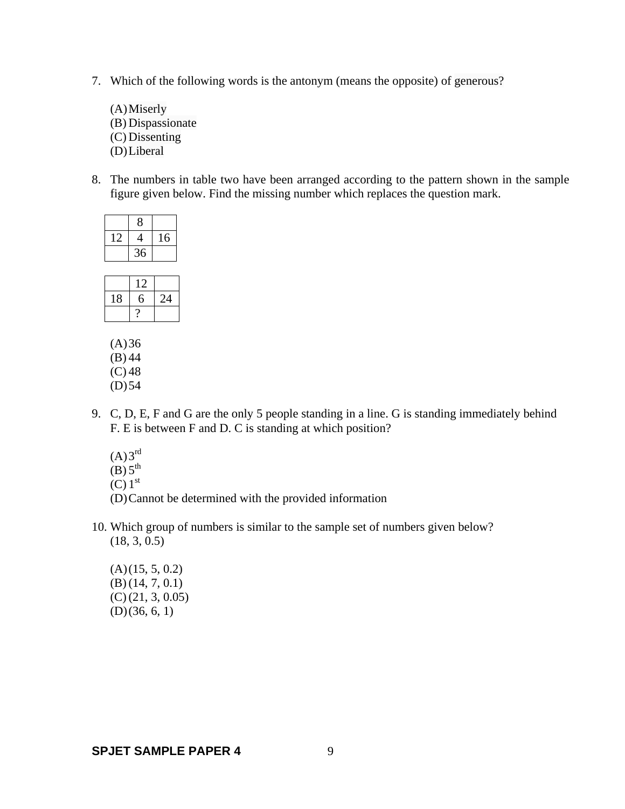7. Which of the following words is the antonym (means the opposite) of generous?

(A)Miserly (B) Dispassionate (C) Dissenting (D)Liberal

8. The numbers in table two have been arranged according to the pattern shown in the sample figure given below. Find the missing number which replaces the question mark.

|    | 8  |    |
|----|----|----|
| 12 | 4  | 16 |
|    | 36 |    |
|    |    |    |

|    | $\overline{\phantom{a}}$ |    |
|----|--------------------------|----|
| 18 |                          | '4 |
|    |                          |    |

 $(A)36$ (B) 44  $(C) 48$  $(D) 54$ 

- 9. C, D, E, F and G are the only 5 people standing in a line. G is standing immediately behind F. E is between F and D. C is standing at which position?
	- $(A)3^{rd}$
	- $(B)$  5<sup>th</sup>

 $(C)$  1<sup>st</sup>

- (D)Cannot be determined with the provided information
- 10. Which group of numbers is similar to the sample set of numbers given below? (18, 3, 0.5)
	- $(A)(15, 5, 0.2)$ (B) (14, 7, 0.1) (C) (21, 3, 0.05) (D)(36, 6, 1)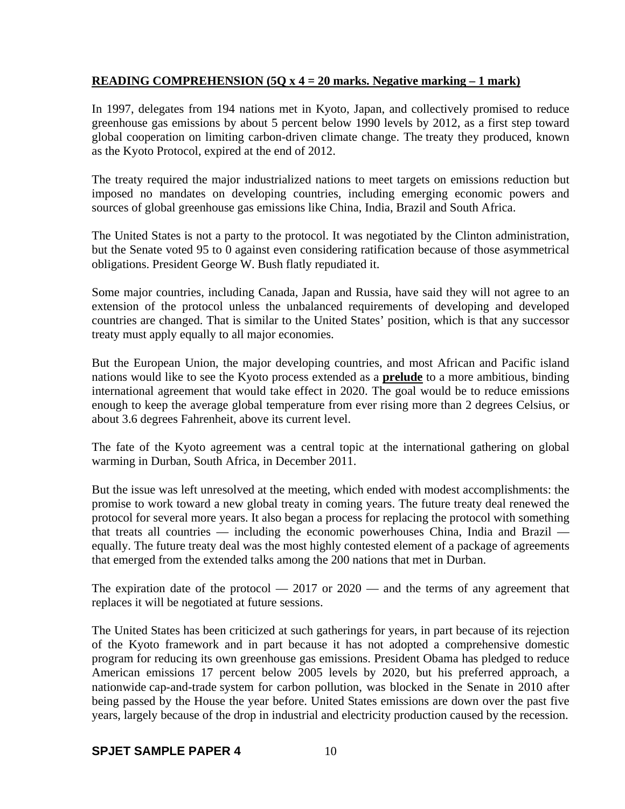### **READING COMPREHENSION (5Q x 4 = 20 marks. Negative marking – 1 mark)**

In 1997, delegates from 194 nations met in Kyoto, Japan, and collectively promised to reduce greenhouse gas emissions by about 5 percent below 1990 levels by 2012, as a first step toward global cooperation on limiting carbon-driven climate change. The treaty they produced, known as the Kyoto Protocol, expired at the end of 2012.

The treaty required the major industrialized nations to meet targets on emissions reduction but imposed no mandates on developing countries, including emerging economic powers and sources of global greenhouse gas emissions like China, India, Brazil and South Africa.

The United States is not a party to the protocol. It was negotiated by the Clinton administration, but the Senate voted 95 to 0 against even considering ratification because of those asymmetrical obligations. President George W. Bush flatly repudiated it.

Some major countries, including Canada, Japan and Russia, have said they will not agree to an extension of the protocol unless the unbalanced requirements of developing and developed countries are changed. That is similar to the United States' position, which is that any successor treaty must apply equally to all major economies.

But the European Union, the major developing countries, and most African and Pacific island nations would like to see the Kyoto process extended as a **prelude** to a more ambitious, binding international agreement that would take effect in 2020. The goal would be to reduce emissions enough to keep the average global temperature from ever rising more than 2 degrees Celsius, or about 3.6 degrees Fahrenheit, above its current level.

The fate of the Kyoto agreement was a central topic at the international gathering on global warming in Durban, South Africa, in December 2011.

But the issue was left unresolved at the meeting, which ended with modest accomplishments: the promise to work toward a new global treaty in coming years. The future treaty deal renewed the protocol for several more years. It also began a process for replacing the protocol with something that treats all countries — including the economic powerhouses China, India and Brazil equally. The future treaty deal was the most highly contested element of a package of agreements that emerged from the extended talks among the 200 nations that met in Durban.

The expiration date of the protocol  $-2017$  or  $2020$  — and the terms of any agreement that replaces it will be negotiated at future sessions.

The United States has been criticized at such gatherings for years, in part because of its rejection of the Kyoto framework and in part because it has not adopted a comprehensive domestic program for reducing its own greenhouse gas emissions. President Obama has pledged to reduce American emissions 17 percent below 2005 levels by 2020, but his preferred approach, a nationwide cap-and-trade system for carbon pollution, was blocked in the Senate in 2010 after being passed by the House the year before. United States emissions are down over the past five years, largely because of the drop in industrial and electricity production caused by the recession.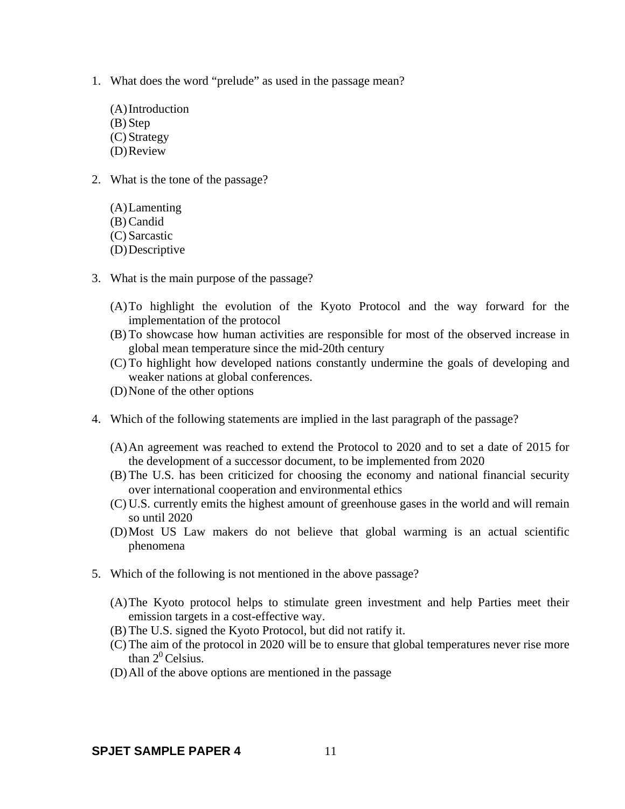- 1. What does the word "prelude" as used in the passage mean?
	- (A)Introduction (B) Step (C) Strategy (D)Review
- 2. What is the tone of the passage?
	- (A)Lamenting (B) Candid (C) Sarcastic (D)Descriptive
- 3. What is the main purpose of the passage?
	- (A)To highlight the evolution of the Kyoto Protocol and the way forward for the implementation of the protocol
	- (B) To showcase how human activities are responsible for most of the observed increase in global mean temperature since the mid-20th century
	- (C) To highlight how developed nations constantly undermine the goals of developing and weaker nations at global conferences.
	- (D)None of the other options
- 4. Which of the following statements are implied in the last paragraph of the passage?
	- (A)An agreement was reached to extend the Protocol to 2020 and to set a date of 2015 for the development of a successor document, to be implemented from 2020
	- (B) The U.S. has been criticized for choosing the economy and national financial security over international cooperation and environmental ethics
	- (C) U.S. currently emits the highest amount of greenhouse gases in the world and will remain so until 2020
	- (D)Most US Law makers do not believe that global warming is an actual scientific phenomena
- 5. Which of the following is not mentioned in the above passage?
	- (A)The Kyoto protocol helps to stimulate green investment and help Parties meet their emission targets in a cost-effective way.
	- (B) The U.S. signed the Kyoto Protocol, but did not ratify it.
	- (C) The aim of the protocol in 2020 will be to ensure that global temperatures never rise more than  $2^0$  Celsius.
	- (D)All of the above options are mentioned in the passage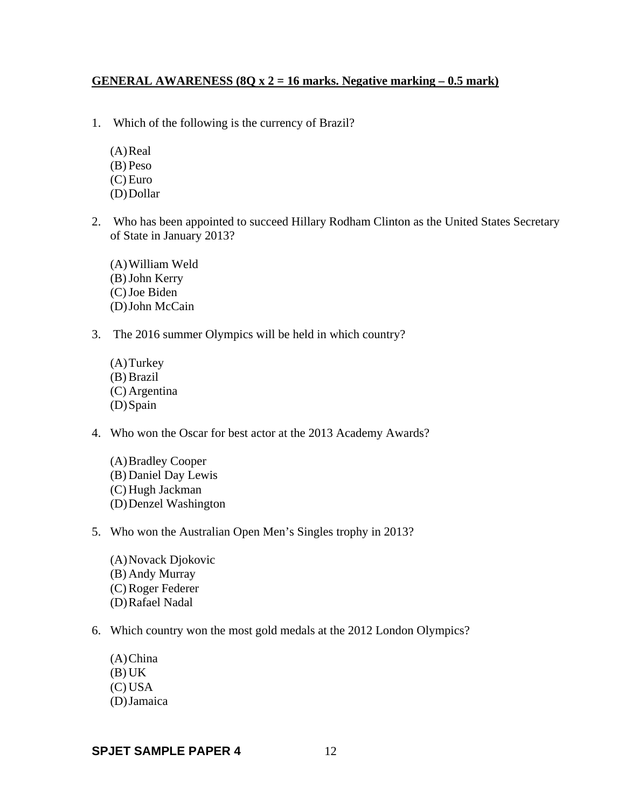### **GENERAL AWARENESS (8Q x 2 = 16 marks. Negative marking – 0.5 mark)**

- 1. Which of the following is the currency of Brazil?
	- $(A)$ Real (B) Peso
	- (C) Euro
	- (D)Dollar
- 2. Who has been appointed to succeed Hillary Rodham Clinton as the United States Secretary of State in January 2013?
	- (A)William Weld (B)John Kerry (C)Joe Biden (D)John McCain
- 3. The 2016 summer Olympics will be held in which country?
	- (A)Turkey (B) Brazil (C) Argentina (D)Spain
- 4. Who won the Oscar for best actor at the 2013 Academy Awards?
	- (A)Bradley Cooper (B) Daniel Day Lewis (C) Hugh Jackman (D)Denzel Washington
- 5. Who won the Australian Open Men's Singles trophy in 2013?
	- (A)Novack Djokovic (B) Andy Murray (C) Roger Federer (D)Rafael Nadal
- 6. Which country won the most gold medals at the 2012 London Olympics?
	- (A)China  $(B) UK$ (C) USA (D)Jamaica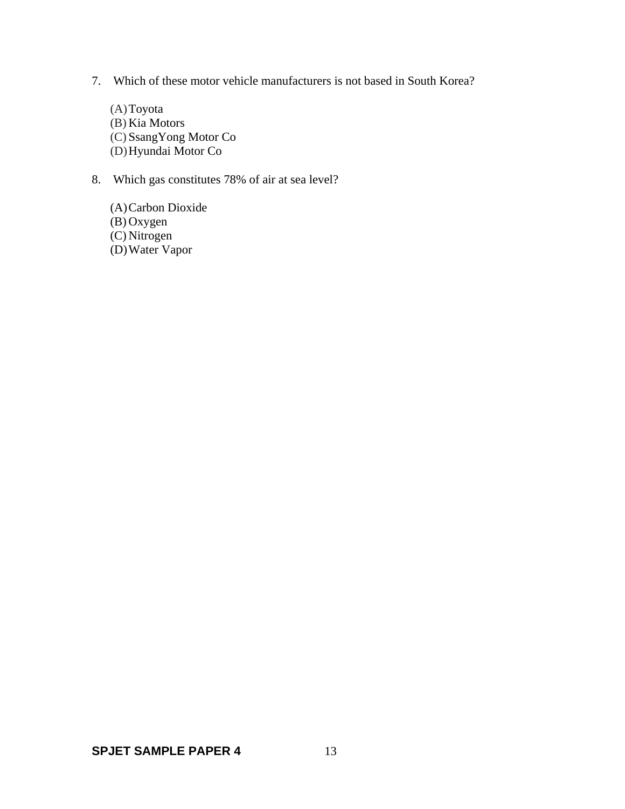- 7. Which of these motor vehicle manufacturers is not based in South Korea?
	- (A)Toyota (B) Kia Motors (C) SsangYong Motor Co (D)Hyundai Motor Co
- 8. Which gas constitutes 78% of air at sea level?
	- (A)Carbon Dioxide (B) Oxygen (C) Nitrogen (D)Water Vapor